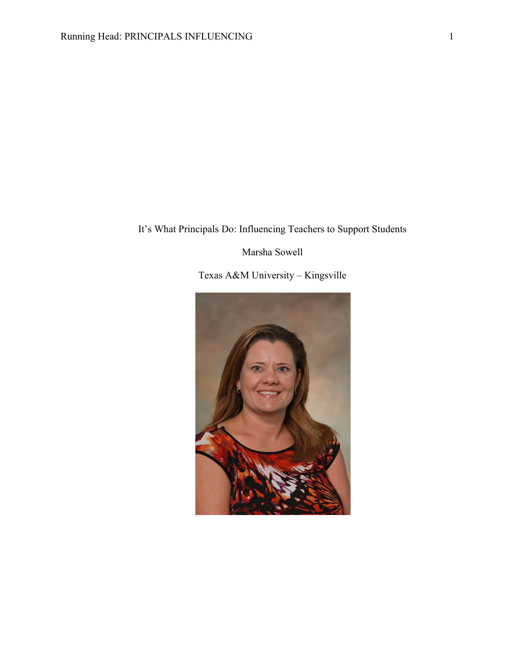# It's What Principals Do: Influencing Teachers to Support Students

## Marsha Sowell

Texas A&M University – Kingsville

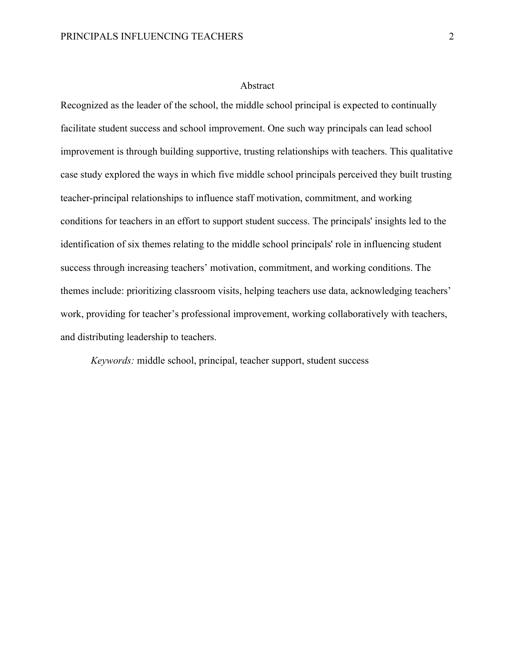## Abstract

Recognized as the leader of the school, the middle school principal is expected to continually facilitate student success and school improvement. One such way principals can lead school improvement is through building supportive, trusting relationships with teachers. This qualitative case study explored the ways in which five middle school principals perceived they built trusting teacher-principal relationships to influence staff motivation, commitment, and working conditions for teachers in an effort to support student success. The principals' insights led to the identification of six themes relating to the middle school principals' role in influencing student success through increasing teachers' motivation, commitment, and working conditions. The themes include: prioritizing classroom visits, helping teachers use data, acknowledging teachers' work, providing for teacher's professional improvement, working collaboratively with teachers, and distributing leadership to teachers.

*Keywords:* middle school, principal, teacher support, student success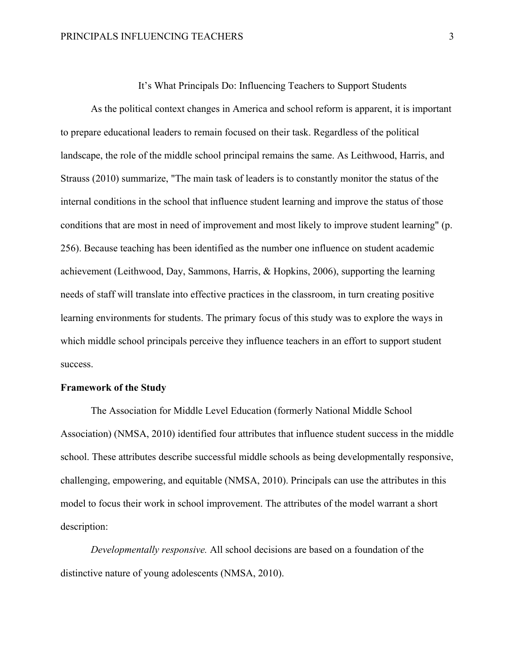It's What Principals Do: Influencing Teachers to Support Students

As the political context changes in America and school reform is apparent, it is important to prepare educational leaders to remain focused on their task. Regardless of the political landscape, the role of the middle school principal remains the same. As Leithwood, Harris, and Strauss (2010) summarize, "The main task of leaders is to constantly monitor the status of the internal conditions in the school that influence student learning and improve the status of those conditions that are most in need of improvement and most likely to improve student learning" (p. 256). Because teaching has been identified as the number one influence on student academic achievement (Leithwood, Day, Sammons, Harris, & Hopkins, 2006), supporting the learning needs of staff will translate into effective practices in the classroom, in turn creating positive learning environments for students. The primary focus of this study was to explore the ways in which middle school principals perceive they influence teachers in an effort to support student success.

## **Framework of the Study**

The Association for Middle Level Education (formerly National Middle School Association) (NMSA, 2010) identified four attributes that influence student success in the middle school. These attributes describe successful middle schools as being developmentally responsive, challenging, empowering, and equitable (NMSA, 2010). Principals can use the attributes in this model to focus their work in school improvement. The attributes of the model warrant a short description:

*Developmentally responsive.* All school decisions are based on a foundation of the distinctive nature of young adolescents (NMSA, 2010).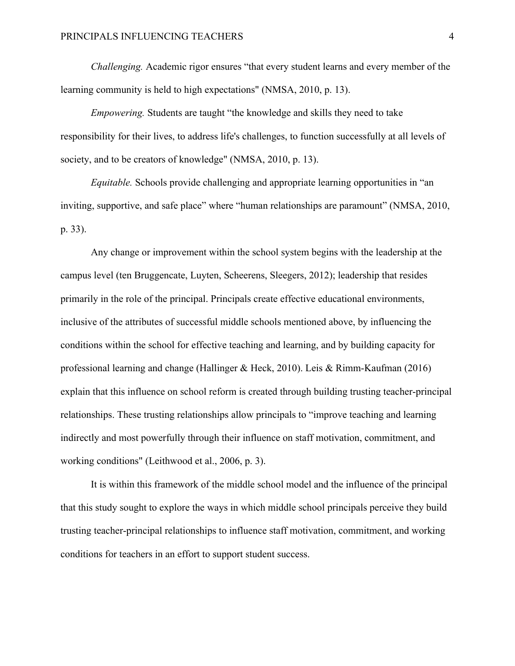*Challenging.* Academic rigor ensures "that every student learns and every member of the learning community is held to high expectations" (NMSA, 2010, p. 13).

*Empowering.* Students are taught "the knowledge and skills they need to take responsibility for their lives, to address life's challenges, to function successfully at all levels of society, and to be creators of knowledge" (NMSA, 2010, p. 13).

*Equitable.* Schools provide challenging and appropriate learning opportunities in "an inviting, supportive, and safe place" where "human relationships are paramount" (NMSA, 2010, p. 33).

Any change or improvement within the school system begins with the leadership at the campus level (ten Bruggencate, Luyten, Scheerens, Sleegers, 2012); leadership that resides primarily in the role of the principal. Principals create effective educational environments, inclusive of the attributes of successful middle schools mentioned above, by influencing the conditions within the school for effective teaching and learning, and by building capacity for professional learning and change (Hallinger & Heck, 2010). Leis & Rimm-Kaufman (2016) explain that this influence on school reform is created through building trusting teacher-principal relationships. These trusting relationships allow principals to "improve teaching and learning indirectly and most powerfully through their influence on staff motivation, commitment, and working conditions" (Leithwood et al., 2006, p. 3).

It is within this framework of the middle school model and the influence of the principal that this study sought to explore the ways in which middle school principals perceive they build trusting teacher-principal relationships to influence staff motivation, commitment, and working conditions for teachers in an effort to support student success.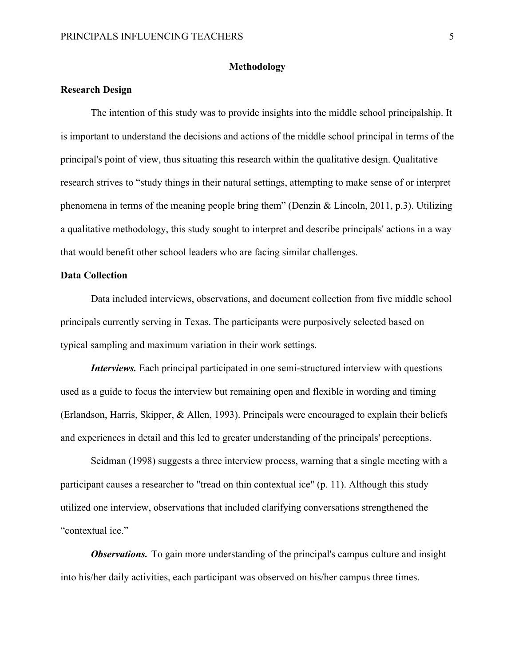## **Methodology**

## **Research Design**

The intention of this study was to provide insights into the middle school principalship. It is important to understand the decisions and actions of the middle school principal in terms of the principal's point of view, thus situating this research within the qualitative design. Qualitative research strives to "study things in their natural settings, attempting to make sense of or interpret phenomena in terms of the meaning people bring them" (Denzin & Lincoln, 2011, p.3). Utilizing a qualitative methodology, this study sought to interpret and describe principals' actions in a way that would benefit other school leaders who are facing similar challenges.

## **Data Collection**

Data included interviews, observations, and document collection from five middle school principals currently serving in Texas. The participants were purposively selected based on typical sampling and maximum variation in their work settings.

*Interviews.* Each principal participated in one semi-structured interview with questions used as a guide to focus the interview but remaining open and flexible in wording and timing (Erlandson, Harris, Skipper, & Allen, 1993). Principals were encouraged to explain their beliefs and experiences in detail and this led to greater understanding of the principals' perceptions.

Seidman (1998) suggests a three interview process, warning that a single meeting with a participant causes a researcher to "tread on thin contextual ice" (p. 11). Although this study utilized one interview, observations that included clarifying conversations strengthened the "contextual ice."

*Observations.* To gain more understanding of the principal's campus culture and insight into his/her daily activities, each participant was observed on his/her campus three times.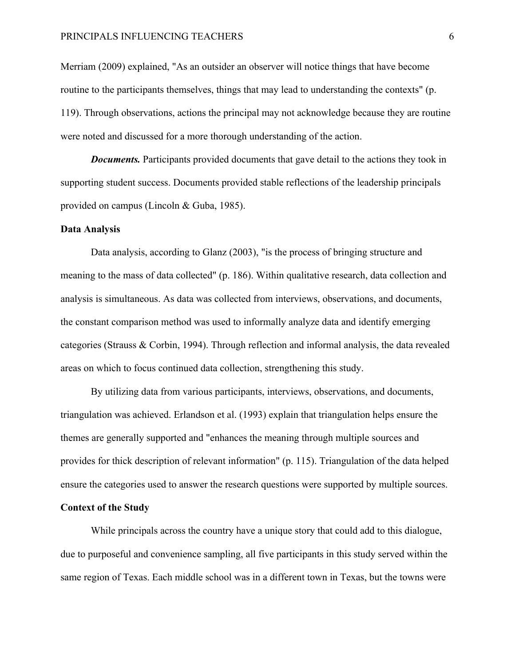## PRINCIPALS INFLUENCING TEACHERS 6

Merriam (2009) explained, "As an outsider an observer will notice things that have become routine to the participants themselves, things that may lead to understanding the contexts" (p. 119). Through observations, actions the principal may not acknowledge because they are routine were noted and discussed for a more thorough understanding of the action.

*Documents.* Participants provided documents that gave detail to the actions they took in supporting student success. Documents provided stable reflections of the leadership principals provided on campus (Lincoln & Guba, 1985).

#### **Data Analysis**

Data analysis, according to Glanz (2003), "is the process of bringing structure and meaning to the mass of data collected" (p. 186). Within qualitative research, data collection and analysis is simultaneous. As data was collected from interviews, observations, and documents, the constant comparison method was used to informally analyze data and identify emerging categories (Strauss & Corbin, 1994). Through reflection and informal analysis, the data revealed areas on which to focus continued data collection, strengthening this study.

By utilizing data from various participants, interviews, observations, and documents, triangulation was achieved. Erlandson et al. (1993) explain that triangulation helps ensure the themes are generally supported and "enhances the meaning through multiple sources and provides for thick description of relevant information" (p. 115). Triangulation of the data helped ensure the categories used to answer the research questions were supported by multiple sources.

#### **Context of the Study**

While principals across the country have a unique story that could add to this dialogue, due to purposeful and convenience sampling, all five participants in this study served within the same region of Texas. Each middle school was in a different town in Texas, but the towns were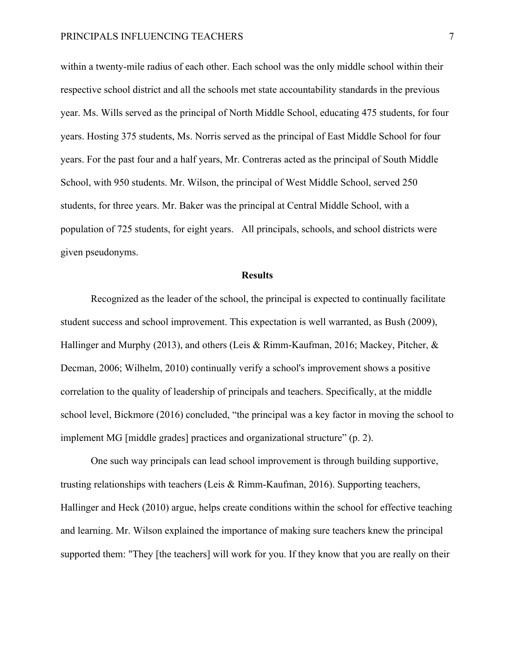within a twenty-mile radius of each other. Each school was the only middle school within their respective school district and all the schools met state accountability standards in the previous year. Ms. Wills served as the principal of North Middle School, educating 475 students, for four years. Hosting 375 students, Ms. Norris served as the principal of East Middle School for four years. For the past four and a half years, Mr. Contreras acted as the principal of South Middle School, with 950 students. Mr. Wilson, the principal of West Middle School, served 250 students, for three years. Mr. Baker was the principal at Central Middle School, with a population of 725 students, for eight years. All principals, schools, and school districts were given pseudonyms.

#### **Results**

Recognized as the leader of the school, the principal is expected to continually facilitate student success and school improvement. This expectation is well warranted, as Bush (2009), Hallinger and Murphy (2013), and others (Leis & Rimm-Kaufman, 2016; Mackey, Pitcher, & Decman, 2006; Wilhelm, 2010) continually verify a school's improvement shows a positive correlation to the quality of leadership of principals and teachers. Specifically, at the middle school level, Bickmore (2016) concluded, "the principal was a key factor in moving the school to implement MG [middle grades] practices and organizational structure" (p. 2).

One such way principals can lead school improvement is through building supportive, trusting relationships with teachers (Leis & Rimm-Kaufman, 2016). Supporting teachers, Hallinger and Heck (2010) argue, helps create conditions within the school for effective teaching and learning. Mr. Wilson explained the importance of making sure teachers knew the principal supported them: "They [the teachers] will work for you. If they know that you are really on their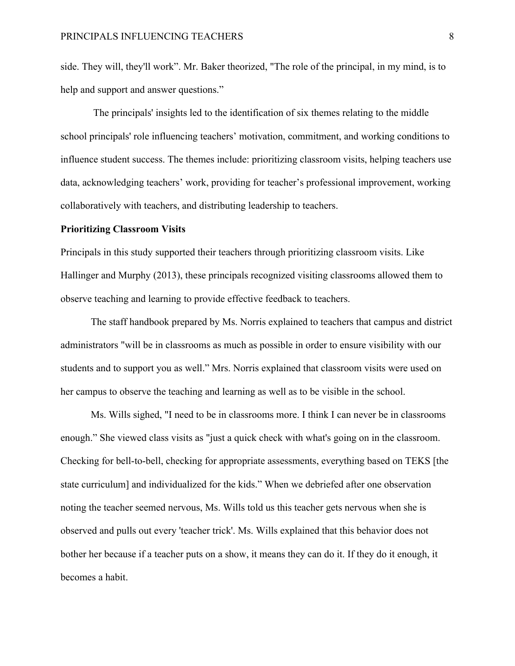side. They will, they'll work". Mr. Baker theorized, "The role of the principal, in my mind, is to help and support and answer questions."

The principals' insights led to the identification of six themes relating to the middle school principals' role influencing teachers' motivation, commitment, and working conditions to influence student success. The themes include: prioritizing classroom visits, helping teachers use data, acknowledging teachers' work, providing for teacher's professional improvement, working collaboratively with teachers, and distributing leadership to teachers.

#### **Prioritizing Classroom Visits**

Principals in this study supported their teachers through prioritizing classroom visits. Like Hallinger and Murphy (2013), these principals recognized visiting classrooms allowed them to observe teaching and learning to provide effective feedback to teachers.

The staff handbook prepared by Ms. Norris explained to teachers that campus and district administrators "will be in classrooms as much as possible in order to ensure visibility with our students and to support you as well." Mrs. Norris explained that classroom visits were used on her campus to observe the teaching and learning as well as to be visible in the school.

Ms. Wills sighed, "I need to be in classrooms more. I think I can never be in classrooms enough." She viewed class visits as "just a quick check with what's going on in the classroom. Checking for bell-to-bell, checking for appropriate assessments, everything based on TEKS [the state curriculum] and individualized for the kids." When we debriefed after one observation noting the teacher seemed nervous, Ms. Wills told us this teacher gets nervous when she is observed and pulls out every 'teacher trick'. Ms. Wills explained that this behavior does not bother her because if a teacher puts on a show, it means they can do it. If they do it enough, it becomes a habit.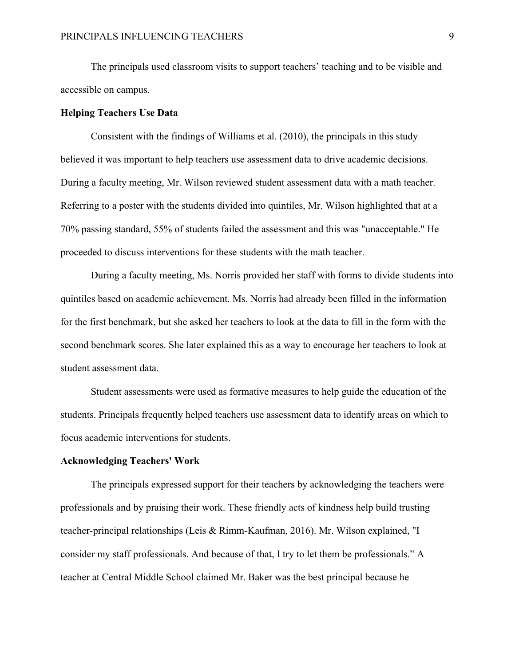The principals used classroom visits to support teachers' teaching and to be visible and accessible on campus.

## **Helping Teachers Use Data**

Consistent with the findings of Williams et al. (2010), the principals in this study believed it was important to help teachers use assessment data to drive academic decisions. During a faculty meeting, Mr. Wilson reviewed student assessment data with a math teacher. Referring to a poster with the students divided into quintiles, Mr. Wilson highlighted that at a 70% passing standard, 55% of students failed the assessment and this was "unacceptable." He proceeded to discuss interventions for these students with the math teacher.

During a faculty meeting, Ms. Norris provided her staff with forms to divide students into quintiles based on academic achievement. Ms. Norris had already been filled in the information for the first benchmark, but she asked her teachers to look at the data to fill in the form with the second benchmark scores. She later explained this as a way to encourage her teachers to look at student assessment data.

Student assessments were used as formative measures to help guide the education of the students. Principals frequently helped teachers use assessment data to identify areas on which to focus academic interventions for students.

## **Acknowledging Teachers' Work**

The principals expressed support for their teachers by acknowledging the teachers were professionals and by praising their work. These friendly acts of kindness help build trusting teacher-principal relationships (Leis & Rimm-Kaufman, 2016). Mr. Wilson explained, "I consider my staff professionals. And because of that, I try to let them be professionals." A teacher at Central Middle School claimed Mr. Baker was the best principal because he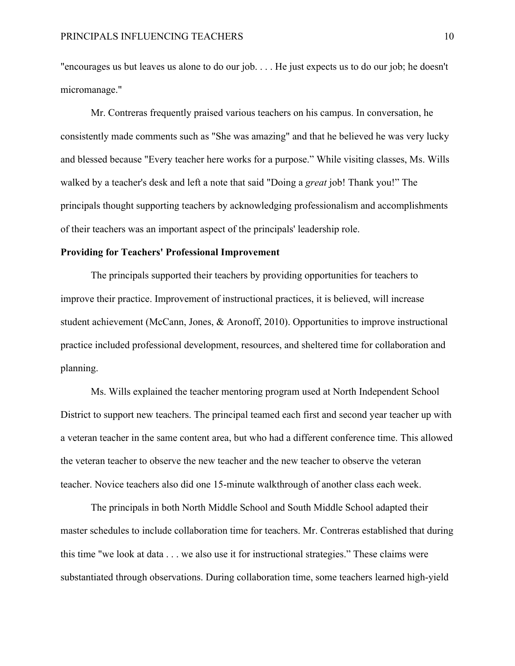"encourages us but leaves us alone to do our job. . . . He just expects us to do our job; he doesn't micromanage."

Mr. Contreras frequently praised various teachers on his campus. In conversation, he consistently made comments such as "She was amazing" and that he believed he was very lucky and blessed because "Every teacher here works for a purpose." While visiting classes, Ms. Wills walked by a teacher's desk and left a note that said "Doing a *great* job! Thank you!" The principals thought supporting teachers by acknowledging professionalism and accomplishments of their teachers was an important aspect of the principals' leadership role.

#### **Providing for Teachers' Professional Improvement**

The principals supported their teachers by providing opportunities for teachers to improve their practice. Improvement of instructional practices, it is believed, will increase student achievement (McCann, Jones, & Aronoff, 2010). Opportunities to improve instructional practice included professional development, resources, and sheltered time for collaboration and planning.

Ms. Wills explained the teacher mentoring program used at North Independent School District to support new teachers. The principal teamed each first and second year teacher up with a veteran teacher in the same content area, but who had a different conference time. This allowed the veteran teacher to observe the new teacher and the new teacher to observe the veteran teacher. Novice teachers also did one 15-minute walkthrough of another class each week.

The principals in both North Middle School and South Middle School adapted their master schedules to include collaboration time for teachers. Mr. Contreras established that during this time "we look at data . . . we also use it for instructional strategies." These claims were substantiated through observations. During collaboration time, some teachers learned high-yield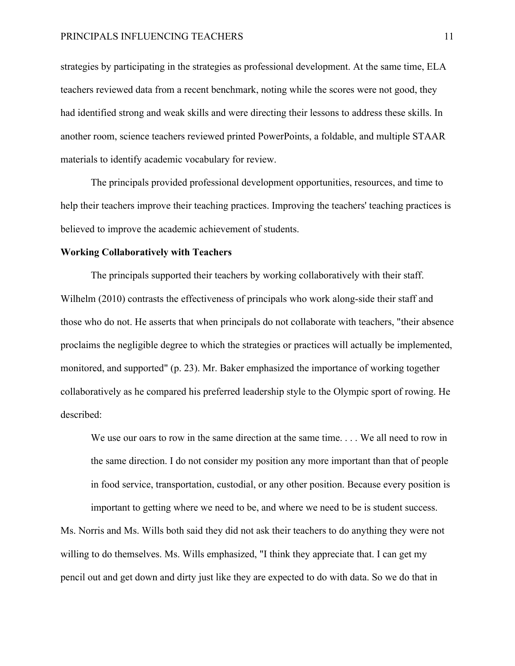## PRINCIPALS INFLUENCING TEACHERS 11

strategies by participating in the strategies as professional development. At the same time, ELA teachers reviewed data from a recent benchmark, noting while the scores were not good, they had identified strong and weak skills and were directing their lessons to address these skills. In another room, science teachers reviewed printed PowerPoints, a foldable, and multiple STAAR materials to identify academic vocabulary for review.

The principals provided professional development opportunities, resources, and time to help their teachers improve their teaching practices. Improving the teachers' teaching practices is believed to improve the academic achievement of students.

#### **Working Collaboratively with Teachers**

The principals supported their teachers by working collaboratively with their staff. Wilhelm (2010) contrasts the effectiveness of principals who work along-side their staff and those who do not. He asserts that when principals do not collaborate with teachers, "their absence proclaims the negligible degree to which the strategies or practices will actually be implemented, monitored, and supported" (p. 23). Mr. Baker emphasized the importance of working together collaboratively as he compared his preferred leadership style to the Olympic sport of rowing. He described:

We use our oars to row in the same direction at the same time. . . . We all need to row in the same direction. I do not consider my position any more important than that of people in food service, transportation, custodial, or any other position. Because every position is important to getting where we need to be, and where we need to be is student success.

Ms. Norris and Ms. Wills both said they did not ask their teachers to do anything they were not willing to do themselves. Ms. Wills emphasized, "I think they appreciate that. I can get my pencil out and get down and dirty just like they are expected to do with data. So we do that in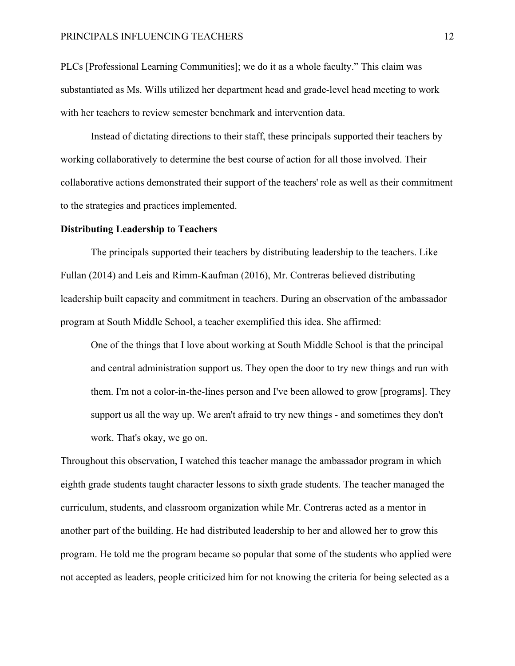## PRINCIPALS INFLUENCING TEACHERS 12

PLCs [Professional Learning Communities]; we do it as a whole faculty." This claim was substantiated as Ms. Wills utilized her department head and grade-level head meeting to work with her teachers to review semester benchmark and intervention data.

Instead of dictating directions to their staff, these principals supported their teachers by working collaboratively to determine the best course of action for all those involved. Their collaborative actions demonstrated their support of the teachers' role as well as their commitment to the strategies and practices implemented.

#### **Distributing Leadership to Teachers**

The principals supported their teachers by distributing leadership to the teachers. Like Fullan (2014) and Leis and Rimm-Kaufman (2016), Mr. Contreras believed distributing leadership built capacity and commitment in teachers. During an observation of the ambassador program at South Middle School, a teacher exemplified this idea. She affirmed:

One of the things that I love about working at South Middle School is that the principal and central administration support us. They open the door to try new things and run with them. I'm not a color-in-the-lines person and I've been allowed to grow [programs]. They support us all the way up. We aren't afraid to try new things - and sometimes they don't work. That's okay, we go on.

Throughout this observation, I watched this teacher manage the ambassador program in which eighth grade students taught character lessons to sixth grade students. The teacher managed the curriculum, students, and classroom organization while Mr. Contreras acted as a mentor in another part of the building. He had distributed leadership to her and allowed her to grow this program. He told me the program became so popular that some of the students who applied were not accepted as leaders, people criticized him for not knowing the criteria for being selected as a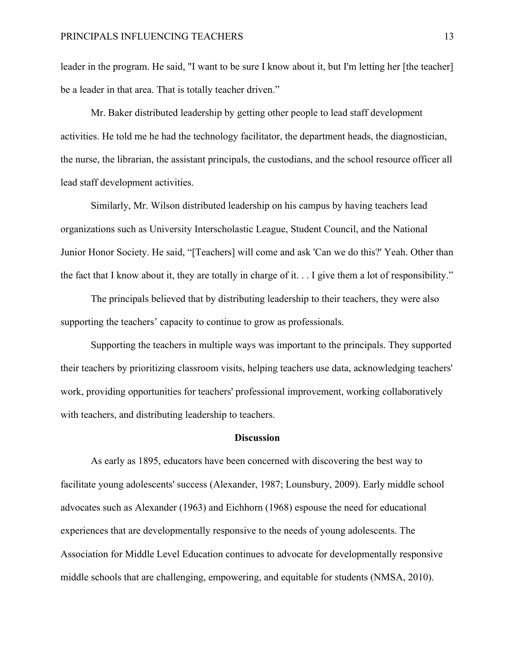leader in the program. He said, "I want to be sure I know about it, but I'm letting her [the teacher] be a leader in that area. That is totally teacher driven."

Mr. Baker distributed leadership by getting other people to lead staff development activities. He told me he had the technology facilitator, the department heads, the diagnostician, the nurse, the librarian, the assistant principals, the custodians, and the school resource officer all lead staff development activities.

Similarly, Mr. Wilson distributed leadership on his campus by having teachers lead organizations such as University Interscholastic League, Student Council, and the National Junior Honor Society. He said, "[Teachers] will come and ask 'Can we do this?' Yeah. Other than the fact that I know about it, they are totally in charge of it. . . I give them a lot of responsibility."

The principals believed that by distributing leadership to their teachers, they were also supporting the teachers' capacity to continue to grow as professionals.

Supporting the teachers in multiple ways was important to the principals. They supported their teachers by prioritizing classroom visits, helping teachers use data, acknowledging teachers' work, providing opportunities for teachers' professional improvement, working collaboratively with teachers, and distributing leadership to teachers.

#### **Discussion**

As early as 1895, educators have been concerned with discovering the best way to facilitate young adolescents' success (Alexander, 1987; Lounsbury, 2009). Early middle school advocates such as Alexander (1963) and Eichhorn (1968) espouse the need for educational experiences that are developmentally responsive to the needs of young adolescents. The Association for Middle Level Education continues to advocate for developmentally responsive middle schools that are challenging, empowering, and equitable for students (NMSA, 2010).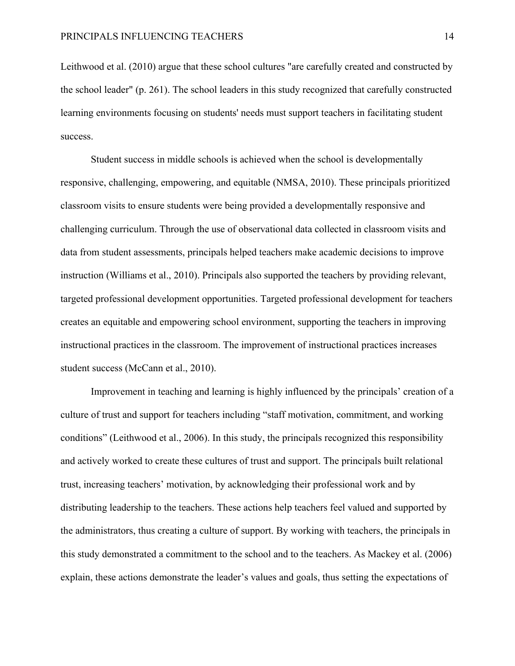Leithwood et al. (2010) argue that these school cultures "are carefully created and constructed by the school leader" (p. 261). The school leaders in this study recognized that carefully constructed learning environments focusing on students' needs must support teachers in facilitating student success.

Student success in middle schools is achieved when the school is developmentally responsive, challenging, empowering, and equitable (NMSA, 2010). These principals prioritized classroom visits to ensure students were being provided a developmentally responsive and challenging curriculum. Through the use of observational data collected in classroom visits and data from student assessments, principals helped teachers make academic decisions to improve instruction (Williams et al., 2010). Principals also supported the teachers by providing relevant, targeted professional development opportunities. Targeted professional development for teachers creates an equitable and empowering school environment, supporting the teachers in improving instructional practices in the classroom. The improvement of instructional practices increases student success (McCann et al., 2010).

Improvement in teaching and learning is highly influenced by the principals' creation of a culture of trust and support for teachers including "staff motivation, commitment, and working conditions" (Leithwood et al., 2006). In this study, the principals recognized this responsibility and actively worked to create these cultures of trust and support. The principals built relational trust, increasing teachers' motivation, by acknowledging their professional work and by distributing leadership to the teachers. These actions help teachers feel valued and supported by the administrators, thus creating a culture of support. By working with teachers, the principals in this study demonstrated a commitment to the school and to the teachers. As Mackey et al. (2006) explain, these actions demonstrate the leader's values and goals, thus setting the expectations of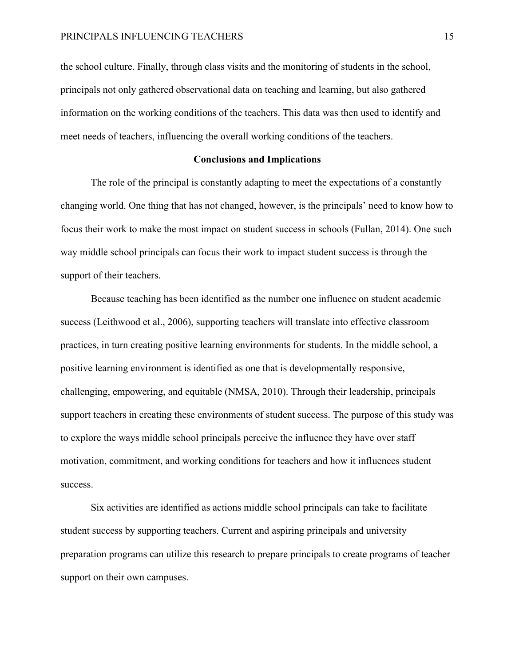the school culture. Finally, through class visits and the monitoring of students in the school, principals not only gathered observational data on teaching and learning, but also gathered information on the working conditions of the teachers. This data was then used to identify and meet needs of teachers, influencing the overall working conditions of the teachers.

### **Conclusions and Implications**

The role of the principal is constantly adapting to meet the expectations of a constantly changing world. One thing that has not changed, however, is the principals' need to know how to focus their work to make the most impact on student success in schools (Fullan, 2014). One such way middle school principals can focus their work to impact student success is through the support of their teachers.

Because teaching has been identified as the number one influence on student academic success (Leithwood et al., 2006), supporting teachers will translate into effective classroom practices, in turn creating positive learning environments for students. In the middle school, a positive learning environment is identified as one that is developmentally responsive, challenging, empowering, and equitable (NMSA, 2010). Through their leadership, principals support teachers in creating these environments of student success. The purpose of this study was to explore the ways middle school principals perceive the influence they have over staff motivation, commitment, and working conditions for teachers and how it influences student success.

Six activities are identified as actions middle school principals can take to facilitate student success by supporting teachers. Current and aspiring principals and university preparation programs can utilize this research to prepare principals to create programs of teacher support on their own campuses.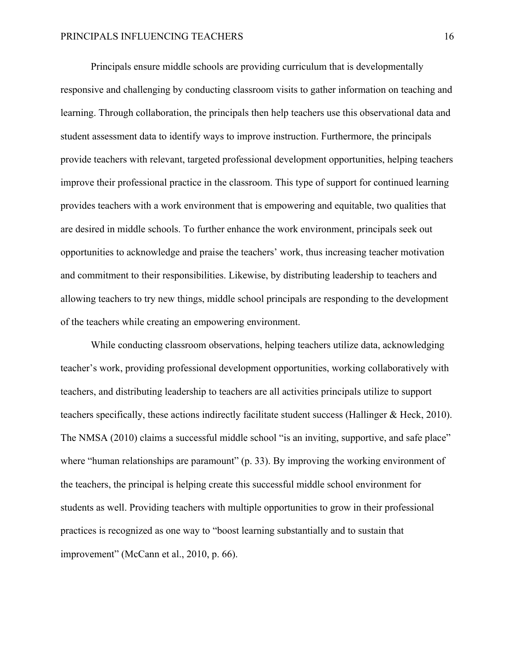Principals ensure middle schools are providing curriculum that is developmentally responsive and challenging by conducting classroom visits to gather information on teaching and learning. Through collaboration, the principals then help teachers use this observational data and student assessment data to identify ways to improve instruction. Furthermore, the principals provide teachers with relevant, targeted professional development opportunities, helping teachers improve their professional practice in the classroom. This type of support for continued learning provides teachers with a work environment that is empowering and equitable, two qualities that are desired in middle schools. To further enhance the work environment, principals seek out opportunities to acknowledge and praise the teachers' work, thus increasing teacher motivation and commitment to their responsibilities. Likewise, by distributing leadership to teachers and allowing teachers to try new things, middle school principals are responding to the development of the teachers while creating an empowering environment.

While conducting classroom observations, helping teachers utilize data, acknowledging teacher's work, providing professional development opportunities, working collaboratively with teachers, and distributing leadership to teachers are all activities principals utilize to support teachers specifically, these actions indirectly facilitate student success (Hallinger & Heck, 2010). The NMSA (2010) claims a successful middle school "is an inviting, supportive, and safe place" where "human relationships are paramount" (p. 33). By improving the working environment of the teachers, the principal is helping create this successful middle school environment for students as well. Providing teachers with multiple opportunities to grow in their professional practices is recognized as one way to "boost learning substantially and to sustain that improvement" (McCann et al., 2010, p. 66).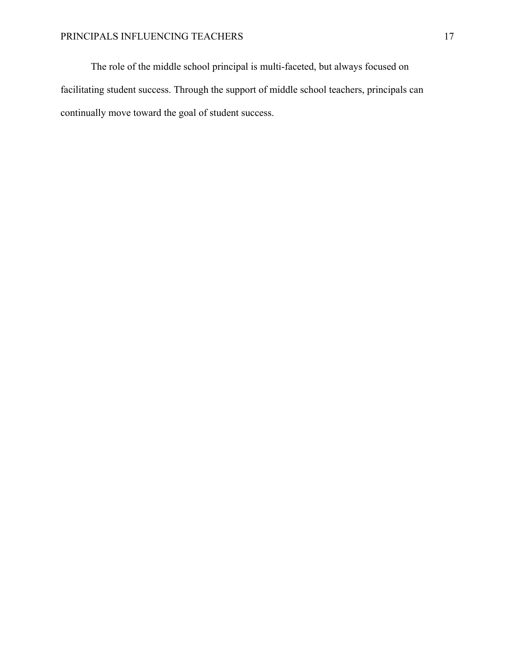The role of the middle school principal is multi-faceted, but always focused on facilitating student success. Through the support of middle school teachers, principals can continually move toward the goal of student success.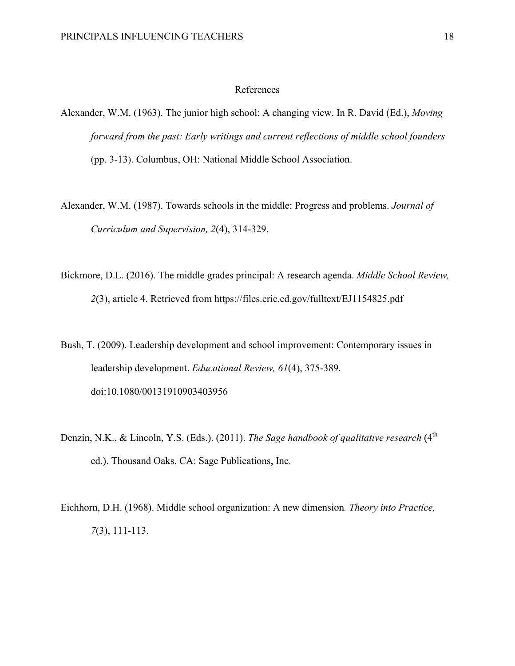## References

- Alexander, W.M. (1963). The junior high school: A changing view. In R. David (Ed.), *Moving forward from the past: Early writings and current reflections of middle school founders*  (pp. 3-13). Columbus, OH: National Middle School Association.
- Alexander, W.M. (1987). Towards schools in the middle: Progress and problems. *Journal of Curriculum and Supervision, 2*(4), 314-329.
- Bickmore, D.L. (2016). The middle grades principal: A research agenda. *Middle School Review, 2*(3), article 4. Retrieved from https://files.eric.ed.gov/fulltext/EJ1154825.pdf
- Bush, T. (2009). Leadership development and school improvement: Contemporary issues in leadership development. *Educational Review, 61*(4), 375-389. doi:10.1080/00131910903403956
- Denzin, N.K., & Lincoln, Y.S. (Eds.). (2011). *The Sage handbook of qualitative research* (4<sup>th</sup>) ed.). Thousand Oaks, CA: Sage Publications, Inc.
- Eichhorn, D.H. (1968). Middle school organization: A new dimension*. Theory into Practice, 7*(3), 111-113.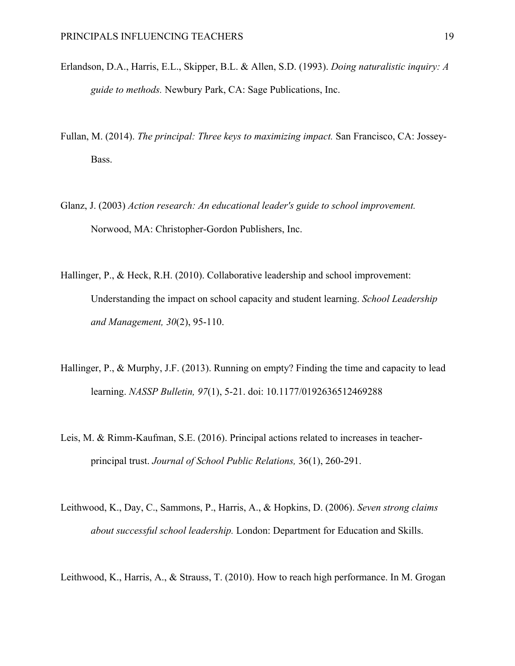- Erlandson, D.A., Harris, E.L., Skipper, B.L. & Allen, S.D. (1993). *Doing naturalistic inquiry: A guide to methods.* Newbury Park, CA: Sage Publications, Inc.
- Fullan, M. (2014). *The principal: Three keys to maximizing impact.* San Francisco, CA: Jossey-Bass.
- Glanz, J. (2003) *Action research: An educational leader's guide to school improvement.* Norwood, MA: Christopher-Gordon Publishers, Inc.
- Hallinger, P., & Heck, R.H. (2010). Collaborative leadership and school improvement: Understanding the impact on school capacity and student learning. *School Leadership and Management, 30*(2), 95-110.
- Hallinger, P., & Murphy, J.F. (2013). Running on empty? Finding the time and capacity to lead learning. *NASSP Bulletin, 97*(1), 5-21. doi: 10.1177/0192636512469288
- Leis, M. & Rimm-Kaufman, S.E. (2016). Principal actions related to increases in teacherprincipal trust. *Journal of School Public Relations,* 36(1), 260-291.
- Leithwood, K., Day, C., Sammons, P., Harris, A., & Hopkins, D. (2006). *Seven strong claims about successful school leadership.* London: Department for Education and Skills.

Leithwood, K., Harris, A., & Strauss, T. (2010). How to reach high performance. In M. Grogan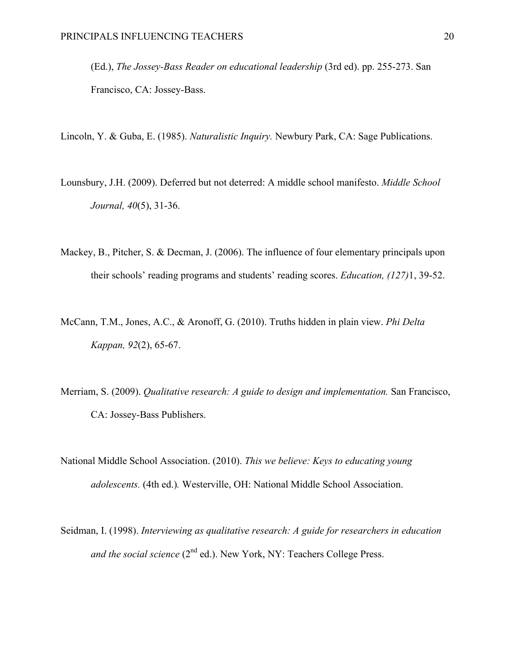(Ed.), *The Jossey-Bass Reader on educational leadership* (3rd ed). pp. 255-273. San Francisco, CA: Jossey-Bass.

Lincoln, Y. & Guba, E. (1985). *Naturalistic Inquiry.* Newbury Park, CA: Sage Publications.

- Lounsbury, J.H. (2009). Deferred but not deterred: A middle school manifesto. *Middle School Journal, 40*(5), 31-36.
- Mackey, B., Pitcher, S. & Decman, J. (2006). The influence of four elementary principals upon their schools' reading programs and students' reading scores. *Education, (127)*1, 39-52.
- McCann, T.M., Jones, A.C., & Aronoff, G. (2010). Truths hidden in plain view. *Phi Delta Kappan, 92*(2), 65-67.
- Merriam, S. (2009). *Qualitative research: A guide to design and implementation.* San Francisco, CA: Jossey-Bass Publishers.
- National Middle School Association. (2010). *This we believe: Keys to educating young adolescents.* (4th ed.)*.* Westerville, OH: National Middle School Association.
- Seidman, I. (1998). *Interviewing as qualitative research: A guide for researchers in education and the social science* (2<sup>nd</sup> ed.). New York, NY: Teachers College Press.